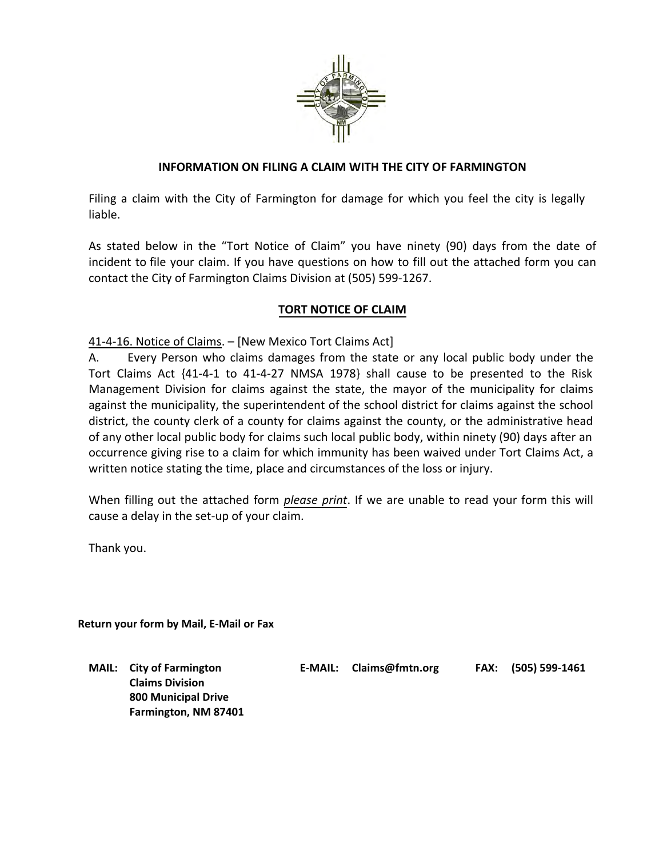

## **INFORMATION ON FILING A CLAIM WITH THE CITY OF FARMINGTON**

Filing a claim with the City of Farmington for damage for which you feel the city is legally liable.

As stated below in the "Tort Notice of Claim" you have ninety (90) days from the date of incident to file your claim. If you have questions on how to fill out the attached form you can contact the City of Farmington Claims Division at (505) 599-1267.

## **TORT NOTICE OF CLAIM**

41-4-16. Notice of Claims. – [New Mexico Tort Claims Act]

A. Every Person who claims damages from the state or any local public body under the Tort Claims Act {41-4-1 to 41-4-27 NMSA 1978} shall cause to be presented to the Risk Management Division for claims against the state, the mayor of the municipality for claims against the municipality, the superintendent of the school district for claims against the school district, the county clerk of a county for claims against the county, or the administrative head of any other local public body for claims such local public body, within ninety (90) days after an occurrence giving rise to a claim for which immunity has been waived under Tort Claims Act, a written notice stating the time, place and circumstances of the loss or injury.

When filling out the attached form *please print*. If we are unable to read your form this will cause a delay in the set-up of your claim.

Thank you.

**Return your form by Mail, E-Mail or Fax** 

**MAIL: City of Farmington Claims Division 800 Municipal Drive Farmington, NM 87401** **E-MAIL: Claims@fmtn.org FAX: (505) 599-1461**